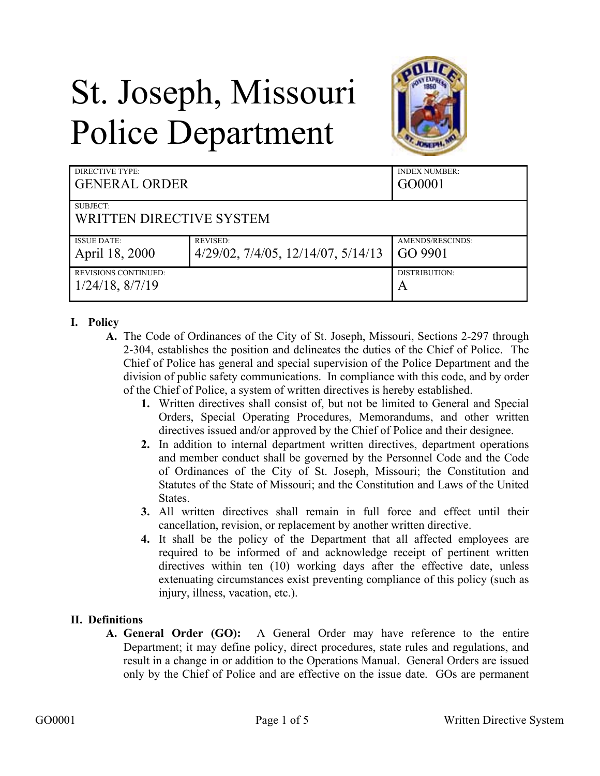# St. Joseph, Missouri Police Department



| DIRECTIVE TYPE:<br><b>GENERAL ORDER</b> |                                               | <b>INDEX NUMBER:</b><br>GO0001 |
|-----------------------------------------|-----------------------------------------------|--------------------------------|
| SUBJECT:                                |                                               |                                |
| WRITTEN DIRECTIVE SYSTEM                |                                               |                                |
| <b>ISSUE DATE:</b>                      | <b>REVISED:</b>                               | AMENDS/RESCINDS:               |
| April 18, 2000                          | $4/29/02$ , $7/4/05$ , $12/14/07$ , $5/14/13$ | GO 9901                        |
| <b>REVISIONS CONTINUED:</b>             |                                               | DISTRIBUTION:                  |
| $1/24/18$ , $8/7/19$                    |                                               | A                              |

#### **I. Policy**

- **A.** The Code of Ordinances of the City of St. Joseph, Missouri, Sections 2-297 through 2-304, establishes the position and delineates the duties of the Chief of Police. The Chief of Police has general and special supervision of the Police Department and the division of public safety communications. In compliance with this code, and by order of the Chief of Police, a system of written directives is hereby established.
	- **1.** Written directives shall consist of, but not be limited to General and Special Orders, Special Operating Procedures, Memorandums, and other written directives issued and/or approved by the Chief of Police and their designee.
	- **2.** In addition to internal department written directives, department operations and member conduct shall be governed by the Personnel Code and the Code of Ordinances of the City of St. Joseph, Missouri; the Constitution and Statutes of the State of Missouri; and the Constitution and Laws of the United States.
	- **3.** All written directives shall remain in full force and effect until their cancellation, revision, or replacement by another written directive.
	- **4.** It shall be the policy of the Department that all affected employees are required to be informed of and acknowledge receipt of pertinent written directives within ten (10) working days after the effective date, unless extenuating circumstances exist preventing compliance of this policy (such as injury, illness, vacation, etc.).

#### **II. Definitions**

**A. General Order (GO):** A General Order may have reference to the entire Department; it may define policy, direct procedures, state rules and regulations, and result in a change in or addition to the Operations Manual. General Orders are issued only by the Chief of Police and are effective on the issue date. GOs are permanent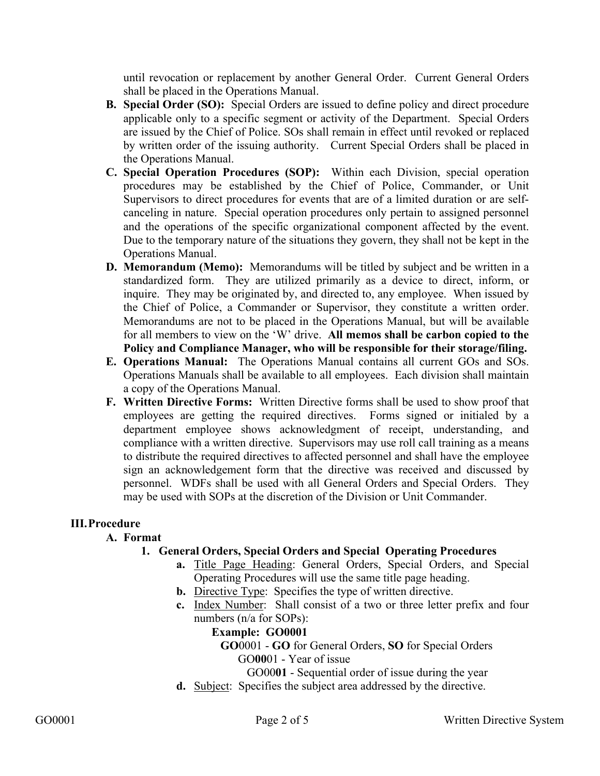until revocation or replacement by another General Order. Current General Orders shall be placed in the Operations Manual.

- **B. Special Order (SO):** Special Orders are issued to define policy and direct procedure applicable only to a specific segment or activity of the Department. Special Orders are issued by the Chief of Police. SOs shall remain in effect until revoked or replaced by written order of the issuing authority. Current Special Orders shall be placed in the Operations Manual.
- **C. Special Operation Procedures (SOP):** Within each Division, special operation procedures may be established by the Chief of Police, Commander, or Unit Supervisors to direct procedures for events that are of a limited duration or are selfcanceling in nature. Special operation procedures only pertain to assigned personnel and the operations of the specific organizational component affected by the event. Due to the temporary nature of the situations they govern, they shall not be kept in the Operations Manual.
- **D. Memorandum (Memo):** Memorandums will be titled by subject and be written in a standardized form. They are utilized primarily as a device to direct, inform, or inquire. They may be originated by, and directed to, any employee. When issued by the Chief of Police, a Commander or Supervisor, they constitute a written order. Memorandums are not to be placed in the Operations Manual, but will be available for all members to view on the 'W' drive. **All memos shall be carbon copied to the Policy and Compliance Manager, who will be responsible for their storage/filing.**
- **E. Operations Manual:** The Operations Manual contains all current GOs and SOs. Operations Manuals shall be available to all employees. Each division shall maintain a copy of the Operations Manual.
- **F. Written Directive Forms:** Written Directive forms shall be used to show proof that employees are getting the required directives. Forms signed or initialed by a department employee shows acknowledgment of receipt, understanding, and compliance with a written directive. Supervisors may use roll call training as a means to distribute the required directives to affected personnel and shall have the employee sign an acknowledgement form that the directive was received and discussed by personnel. WDFs shall be used with all General Orders and Special Orders. They may be used with SOPs at the discretion of the Division or Unit Commander.

#### **III.Procedure**

#### **A. Format**

## **1. General Orders, Special Orders and Special Operating Procedures**

- **a.** Title Page Heading: General Orders, Special Orders, and Special Operating Procedures will use the same title page heading.
- **b.** Directive Type: Specifies the type of written directive.
- **c.** Index Number: Shall consist of a two or three letter prefix and four numbers (n/a for SOPs):

#### **Example: GO0001**

**GO**0001 - **GO** for General Orders, **SO** for Special Orders GO**00**01 - Year of issue

GO00**01** - Sequential order of issue during the year

**d.** Subject: Specifies the subject area addressed by the directive.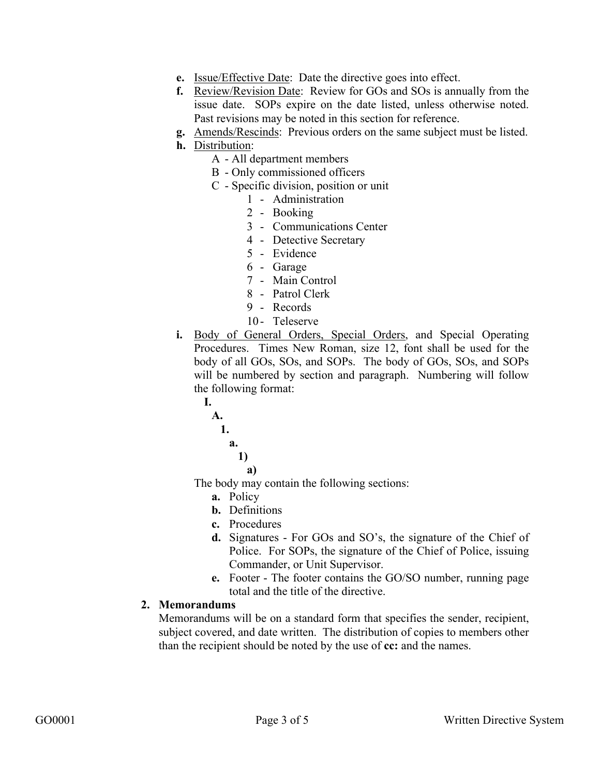- **e.** Issue/Effective Date: Date the directive goes into effect.
- **f.** Review/Revision Date: Review for GOs and SOs is annually from the issue date. SOPs expire on the date listed, unless otherwise noted. Past revisions may be noted in this section for reference.
- **g.** Amends/Rescinds: Previous orders on the same subject must be listed.
- **h.** Distribution:
	- A All department members
	- B Only commissioned officers
	- C Specific division, position or unit
		- 1 Administration
		- 2 Booking
		- 3 Communications Center
		- 4 Detective Secretary
		- 5 Evidence
		- 6 Garage
		- 7 Main Control
		- 8 Patrol Clerk
		- 9 Records
		- 10- Teleserve
- **i.** Body of General Orders, Special Orders, and Special Operating Procedures. Times New Roman, size 12, font shall be used for the body of all GOs, SOs, and SOPs. The body of GOs, SOs, and SOPs will be numbered by section and paragraph. Numbering will follow the following format:
	- **A. 1. a. 1) a)**

**I.**

The body may contain the following sections:

- **a.** Policy
- **b.** Definitions
- **c.** Procedures
- **d.** Signatures For GOs and SO's, the signature of the Chief of Police. For SOPs, the signature of the Chief of Police, issuing Commander, or Unit Supervisor.
- **e.** Footer The footer contains the GO/SO number, running page total and the title of the directive.

#### **2. Memorandums**

Memorandums will be on a standard form that specifies the sender, recipient, subject covered, and date written. The distribution of copies to members other than the recipient should be noted by the use of **cc:** and the names.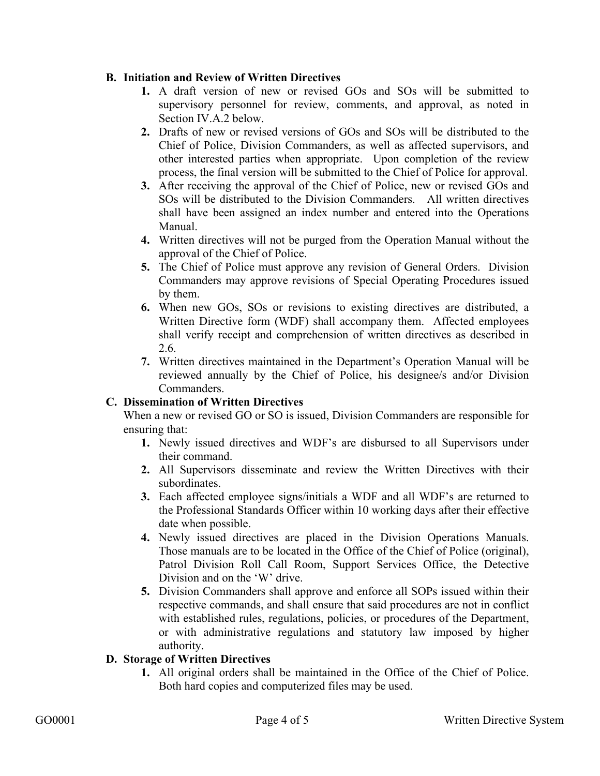### **B. Initiation and Review of Written Directives**

- **1.** A draft version of new or revised GOs and SOs will be submitted to supervisory personnel for review, comments, and approval, as noted in Section IV.A.2 below.
- **2.** Drafts of new or revised versions of GOs and SOs will be distributed to the Chief of Police, Division Commanders, as well as affected supervisors, and other interested parties when appropriate. Upon completion of the review process, the final version will be submitted to the Chief of Police for approval.
- **3.** After receiving the approval of the Chief of Police, new or revised GOs and SOs will be distributed to the Division Commanders. All written directives shall have been assigned an index number and entered into the Operations Manual.
- **4.** Written directives will not be purged from the Operation Manual without the approval of the Chief of Police.
- **5.** The Chief of Police must approve any revision of General Orders. Division Commanders may approve revisions of Special Operating Procedures issued by them.
- **6.** When new GOs, SOs or revisions to existing directives are distributed, a Written Directive form (WDF) shall accompany them. Affected employees shall verify receipt and comprehension of written directives as described in 2.6.
- **7.** Written directives maintained in the Department's Operation Manual will be reviewed annually by the Chief of Police, his designee/s and/or Division Commanders.

## **C. Dissemination of Written Directives**

When a new or revised GO or SO is issued, Division Commanders are responsible for ensuring that:

- **1.** Newly issued directives and WDF's are disbursed to all Supervisors under their command.
- **2.** All Supervisors disseminate and review the Written Directives with their subordinates.
- **3.** Each affected employee signs/initials a WDF and all WDF's are returned to the Professional Standards Officer within 10 working days after their effective date when possible.
- **4.** Newly issued directives are placed in the Division Operations Manuals. Those manuals are to be located in the Office of the Chief of Police (original), Patrol Division Roll Call Room, Support Services Office, the Detective Division and on the 'W' drive.
- **5.** Division Commanders shall approve and enforce all SOPs issued within their respective commands, and shall ensure that said procedures are not in conflict with established rules, regulations, policies, or procedures of the Department, or with administrative regulations and statutory law imposed by higher authority.

#### **D. Storage of Written Directives**

**1.** All original orders shall be maintained in the Office of the Chief of Police. Both hard copies and computerized files may be used.